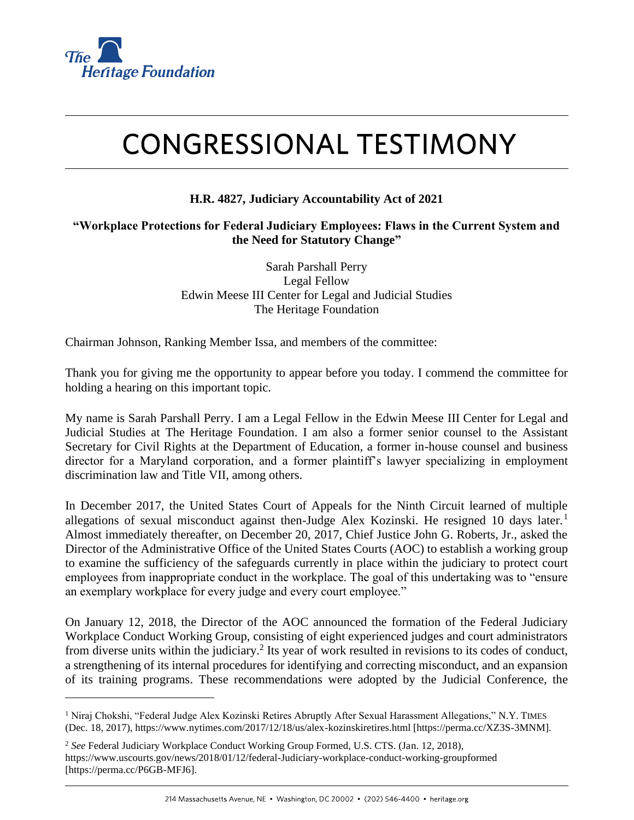

# **CONGRESSIONAL TESTIMONY**

## **H.R. 4827, Judiciary Accountability Act of 2021**

#### **"Workplace Protections for Federal Judiciary Employees: Flaws in the Current System and the Need for Statutory Change"**

Sarah Parshall Perry Legal Fellow Edwin Meese III Center for Legal and Judicial Studies The Heritage Foundation

Chairman Johnson, Ranking Member Issa, and members of the committee:

Thank you for giving me the opportunity to appear before you today. I commend the committee for holding a hearing on this important topic.

My name is Sarah Parshall Perry. I am a Legal Fellow in the Edwin Meese III Center for Legal and Judicial Studies at The Heritage Foundation. I am also a former senior counsel to the Assistant Secretary for Civil Rights at the Department of Education, a former in-house counsel and business director for a Maryland corporation, and a former plaintiff's lawyer specializing in employment discrimination law and Title VII, among others.

In December 2017, the United States Court of Appeals for the Ninth Circuit learned of multiple allegations of sexual misconduct against then-Judge Alex Kozinski. He resigned 10 days later.<sup>1</sup> Almost immediately thereafter, on December 20, 2017, Chief Justice John G. Roberts, Jr., asked the Director of the Administrative Office of the United States Courts (AOC) to establish a working group to examine the sufficiency of the safeguards currently in place within the judiciary to protect court employees from inappropriate conduct in the workplace. The goal of this undertaking was to "ensure an exemplary workplace for every judge and every court employee."

On January 12, 2018, the Director of the AOC announced the formation of the Federal Judiciary Workplace Conduct Working Group, consisting of eight experienced judges and court administrators from diverse units within the judiciary.<sup>2</sup> Its year of work resulted in revisions to its codes of conduct, a strengthening of its internal procedures for identifying and correcting misconduct, and an expansion of its training programs. These recommendations were adopted by the Judicial Conference, the

<sup>&</sup>lt;sup>1</sup> Niraj Chokshi, "Federal Judge Alex Kozinski Retires Abruptly After Sexual Harassment Allegations," N.Y. TIMES (Dec. 18, 2017), https://www.nytimes.com/2017/12/18/us/alex-kozinskiretires.html [https://perma.cc/XZ3S-3MNM].

<sup>2</sup> *See* Federal Judiciary Workplace Conduct Working Group Formed, U.S. CTS. (Jan. 12, 2018), https://www.uscourts.gov/news/2018/01/12/federal-Judiciary-workplace-conduct-working-groupformed [https://perma.cc/P6GB-MFJ6].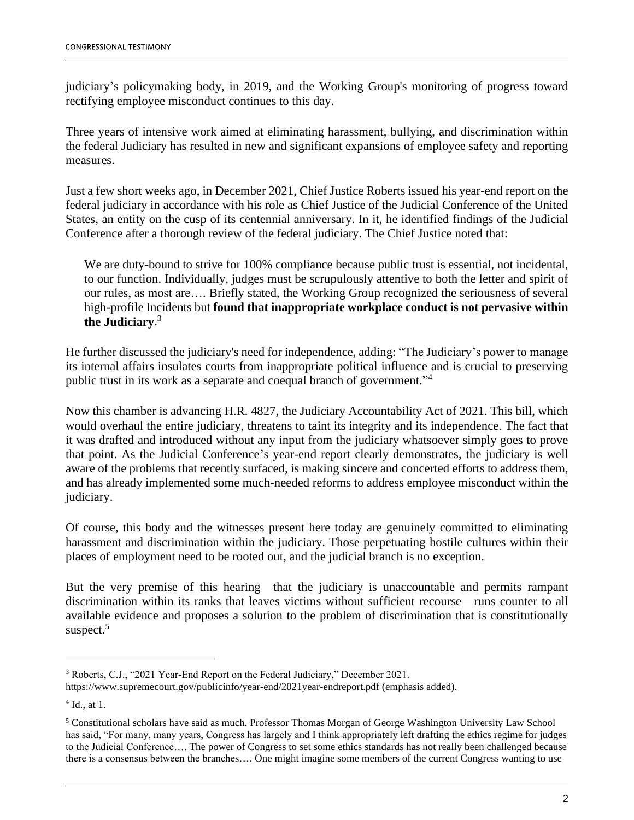judiciary's policymaking body, in 2019, and the Working Group's monitoring of progress toward rectifying employee misconduct continues to this day.

Three years of intensive work aimed at eliminating harassment, bullying, and discrimination within the federal Judiciary has resulted in new and significant expansions of employee safety and reporting measures.

Just a few short weeks ago, in December 2021, Chief Justice Roberts issued his year-end report on the federal judiciary in accordance with his role as Chief Justice of the Judicial Conference of the United States, an entity on the cusp of its centennial anniversary. In it, he identified findings of the Judicial Conference after a thorough review of the federal judiciary. The Chief Justice noted that:

We are duty-bound to strive for 100% compliance because public trust is essential, not incidental, to our function. Individually, judges must be scrupulously attentive to both the letter and spirit of our rules, as most are…. Briefly stated, the Working Group recognized the seriousness of several high-profile Incidents but **found that inappropriate workplace conduct is not pervasive within the Judiciary**. 3

He further discussed the judiciary's need for independence, adding: "The Judiciary's power to manage its internal affairs insulates courts from inappropriate political influence and is crucial to preserving public trust in its work as a separate and coequal branch of government."<sup>4</sup>

Now this chamber is advancing H.R. 4827, the Judiciary Accountability Act of 2021. This bill, which would overhaul the entire judiciary, threatens to taint its integrity and its independence. The fact that it was drafted and introduced without any input from the judiciary whatsoever simply goes to prove that point. As the Judicial Conference's year-end report clearly demonstrates, the judiciary is well aware of the problems that recently surfaced, is making sincere and concerted efforts to address them, and has already implemented some much-needed reforms to address employee misconduct within the judiciary.

Of course, this body and the witnesses present here today are genuinely committed to eliminating harassment and discrimination within the judiciary. Those perpetuating hostile cultures within their places of employment need to be rooted out, and the judicial branch is no exception.

But the very premise of this hearing—that the judiciary is unaccountable and permits rampant discrimination within its ranks that leaves victims without sufficient recourse—runs counter to all available evidence and proposes a solution to the problem of discrimination that is constitutionally suspect. $5$ 

<sup>3</sup> Roberts, C.J., "2021 Year-End Report on the Federal Judiciary," December 2021.

https://www.supremecourt.gov/publicinfo/year-end/2021year-endreport.pdf (emphasis added).

<sup>4</sup> Id., at 1.

<sup>5</sup> Constitutional scholars have said as much. Professor Thomas Morgan of George Washington University Law School has said, "For many, many years, Congress has largely and I think appropriately left drafting the ethics regime for judges to the Judicial Conference…. The power of Congress to set some ethics standards has not really been challenged because there is a consensus between the branches…. One might imagine some members of the current Congress wanting to use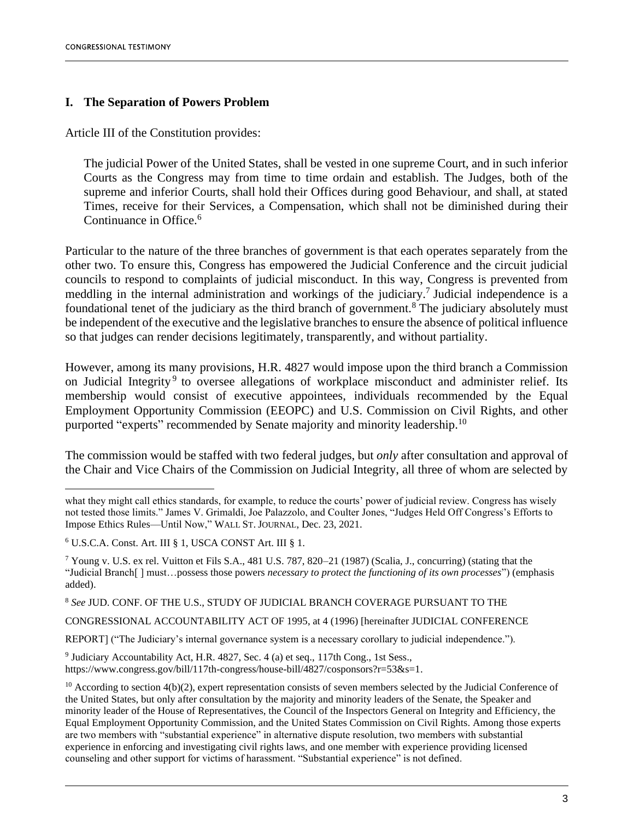#### **I. The Separation of Powers Problem**

Article III of the Constitution provides:

The judicial Power of the United States, shall be vested in one supreme Court, and in such inferior Courts as the Congress may from time to time ordain and establish. The Judges, both of the supreme and inferior Courts, shall hold their Offices during good Behaviour, and shall, at stated Times, receive for their Services, a Compensation, which shall not be diminished during their Continuance in Office.<sup>6</sup>

Particular to the nature of the three branches of government is that each operates separately from the other two. To ensure this, Congress has empowered the Judicial Conference and the circuit judicial councils to respond to complaints of judicial misconduct. In this way, Congress is prevented from meddling in the internal administration and workings of the judiciary.<sup>7</sup> Judicial independence is a foundational tenet of the judiciary as the third branch of government.<sup>8</sup> The judiciary absolutely must be independent of the executive and the legislative branches to ensure the absence of political influence so that judges can render decisions legitimately, transparently, and without partiality.

However, among its many provisions, H.R. 4827 would impose upon the third branch a Commission on Judicial Integrity<sup>9</sup> to oversee allegations of workplace misconduct and administer relief. Its membership would consist of executive appointees, individuals recommended by the Equal Employment Opportunity Commission (EEOPC) and U.S. Commission on Civil Rights, and other purported "experts" recommended by Senate majority and minority leadership.<sup>10</sup>

The commission would be staffed with two federal judges, but *only* after consultation and approval of the Chair and Vice Chairs of the Commission on Judicial Integrity, all three of whom are selected by

<sup>8</sup> *See* JUD. CONF. OF THE U.S., STUDY OF JUDICIAL BRANCH COVERAGE PURSUANT TO THE

CONGRESSIONAL ACCOUNTABILITY ACT OF 1995, at 4 (1996) [hereinafter JUDICIAL CONFERENCE

REPORT] ("The Judiciary's internal governance system is a necessary corollary to judicial independence.").

<sup>9</sup> Judiciary Accountability Act, H.R. 4827, Sec. 4 (a) et seq., 117th Cong., 1st Sess., https://www.congress.gov/bill/117th-congress/house-bill/4827/cosponsors?r=53&s=1.

what they might call ethics standards, for example, to reduce the courts' power of judicial review. Congress has wisely not tested those limits." James V. Grimaldi, Joe Palazzolo, and Coulter Jones, "Judges Held Off Congress's Efforts to Impose Ethics Rules—Until Now," WALL ST. JOURNAL, Dec. 23, 2021.

<sup>6</sup> U.S.C.A. Const. Art. III § 1, USCA CONST Art. III § 1.

<sup>&</sup>lt;sup>7</sup> Young v. U.S. ex rel. Vuitton et Fils S.A., 481 U.S. 787, 820–21 (1987) (Scalia, J., concurring) (stating that the "Judicial Branch[ ] must…possess those powers *necessary to protect the functioning of its own processes*") (emphasis added).

 $10$  According to section 4(b)(2), expert representation consists of seven members selected by the Judicial Conference of the United States, but only after consultation by the majority and minority leaders of the Senate, the Speaker and minority leader of the House of Representatives, the Council of the Inspectors General on Integrity and Efficiency, the Equal Employment Opportunity Commission, and the United States Commission on Civil Rights. Among those experts are two members with "substantial experience" in alternative dispute resolution, two members with substantial experience in enforcing and investigating civil rights laws, and one member with experience providing licensed counseling and other support for victims of harassment. "Substantial experience" is not defined.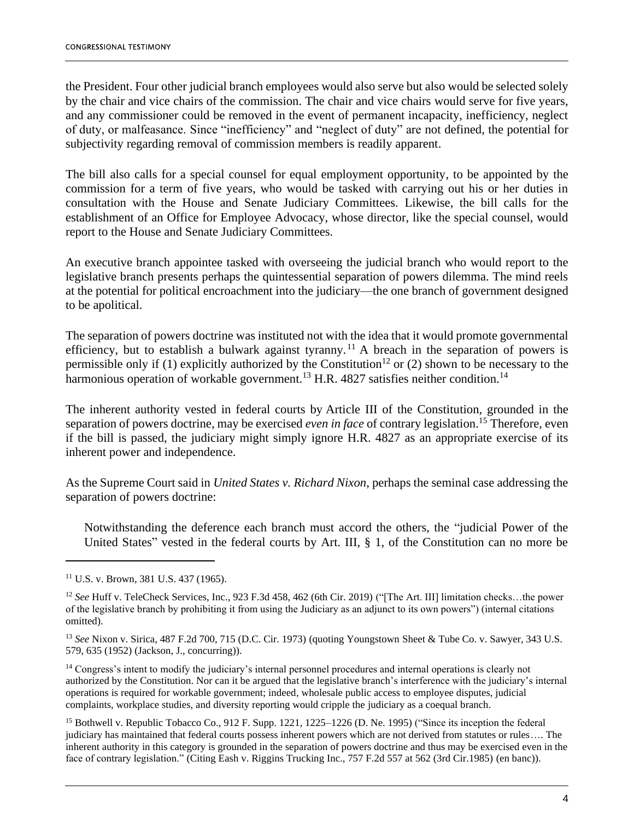the President. Four other judicial branch employees would also serve but also would be selected solely by the chair and vice chairs of the commission. The chair and vice chairs would serve for five years, and any commissioner could be removed in the event of permanent incapacity, inefficiency, neglect of duty, or malfeasance. Since "inefficiency" and "neglect of duty" are not defined, the potential for subjectivity regarding removal of commission members is readily apparent.

The bill also calls for a special counsel for equal employment opportunity, to be appointed by the commission for a term of five years, who would be tasked with carrying out his or her duties in consultation with the House and Senate Judiciary Committees. Likewise, the bill calls for the establishment of an Office for Employee Advocacy, whose director, like the special counsel, would report to the House and Senate Judiciary Committees.

An executive branch appointee tasked with overseeing the judicial branch who would report to the legislative branch presents perhaps the quintessential separation of powers dilemma. The mind reels at the potential for political encroachment into the judiciary—the one branch of government designed to be apolitical.

The separation of powers doctrine was instituted not with the idea that it would promote governmental efficiency, but to establish a bulwark against tyranny.<sup>11</sup> A breach in the separation of powers is permissible only if (1) explicitly authorized by the Constitution<sup>12</sup> or (2) shown to be necessary to the harmonious operation of workable government.<sup>13</sup> H.R. 4827 satisfies neither condition.<sup>14</sup>

The inherent authority vested in federal courts by Article III of the Constitution, grounded in the separation of powers doctrine, may be exercised *even in face* of contrary legislation.<sup>15</sup> Therefore, even if the bill is passed, the judiciary might simply ignore H.R. 4827 as an appropriate exercise of its inherent power and independence.

As the Supreme Court said in *United States v. Richard Nixon*, perhaps the seminal case addressing the separation of powers doctrine:

Notwithstanding the deference each branch must accord the others, the "judicial Power of the United States" vested in the federal courts by Art. III, § 1, of the Constitution can no more be

<sup>14</sup> Congress's intent to modify the judiciary's internal personnel procedures and internal operations is clearly not authorized by the Constitution. Nor can it be argued that the legislative branch's interference with the judiciary's internal operations is required for workable government; indeed, wholesale public access to employee disputes, judicial complaints, workplace studies, and diversity reporting would cripple the judiciary as a coequal branch.

<sup>15</sup> Bothwell v. Republic Tobacco Co., 912 F. Supp. 1221, 1225–1226 (D. Ne. 1995) ("Since its inception the federal judiciary has maintained that federal courts possess inherent powers which are not derived from statutes or rules…. The inherent authority in this category is grounded in the separation of powers doctrine and thus may be exercised even in the face of contrary legislation." (Citing Eash v. Riggins Trucking Inc., 757 F.2d 557 at 562 (3rd Cir.1985) (en banc)).

<sup>11</sup> U.S. v. Brown, 381 U.S. 437 (1965).

<sup>12</sup> *See* Huff v. TeleCheck Services, Inc., 923 F.3d 458, 462 (6th Cir. 2019) ("[The Art. III] limitation checks…the power of the legislative branch by prohibiting it from using the Judiciary as an adjunct to its own powers") (internal citations omitted).

<sup>13</sup> *See* Nixon v. Sirica, 487 F.2d 700, 715 (D.C. Cir. 1973) (quoting Youngstown Sheet & Tube Co. v. Sawyer, 343 U.S. 579, 635 (1952) (Jackson, J., concurring)).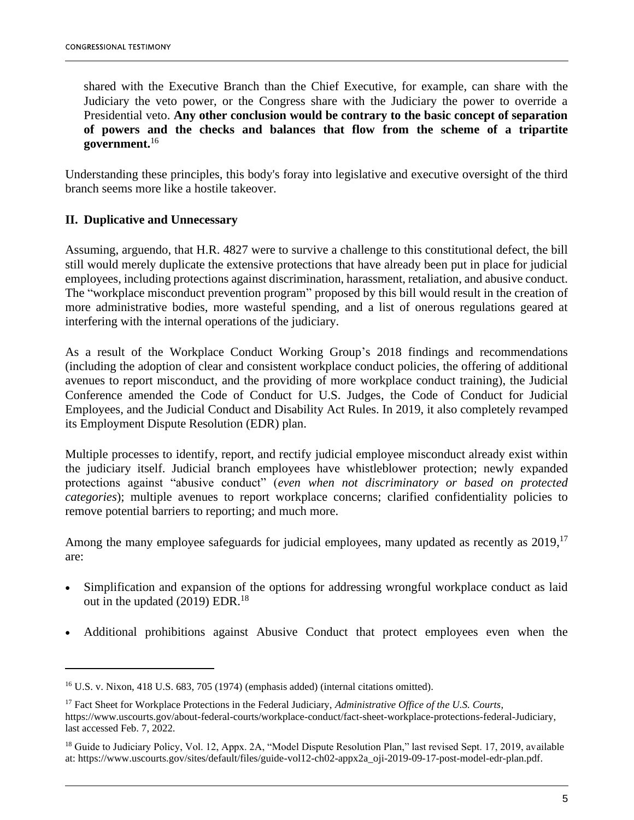shared with the Executive Branch than the Chief Executive, for example, can share with the Judiciary the veto power, or the Congress share with the Judiciary the power to override a Presidential veto. **Any other conclusion would be contrary to the basic concept of separation of powers and the checks and balances that flow from the scheme of a tripartite government.** 16

Understanding these principles, this body's foray into legislative and executive oversight of the third branch seems more like a hostile takeover.

#### **II. Duplicative and Unnecessary**

Assuming, arguendo, that H.R. 4827 were to survive a challenge to this constitutional defect, the bill still would merely duplicate the extensive protections that have already been put in place for judicial employees, including protections against discrimination, harassment, retaliation, and abusive conduct. The "workplace misconduct prevention program" proposed by this bill would result in the creation of more administrative bodies, more wasteful spending, and a list of onerous regulations geared at interfering with the internal operations of the judiciary.

As a result of the Workplace Conduct Working Group's 2018 findings and recommendations (including the adoption of clear and consistent workplace conduct policies, the offering of additional avenues to report misconduct, and the providing of more workplace conduct training), the Judicial Conference amended the Code of Conduct for U.S. Judges, the Code of Conduct for Judicial Employees, and the Judicial Conduct and Disability Act Rules. In 2019, it also completely revamped its Employment Dispute Resolution (EDR) plan.

Multiple processes to identify, report, and rectify judicial employee misconduct already exist within the judiciary itself. Judicial branch employees have whistleblower protection; newly expanded protections against "abusive conduct" (*even when not discriminatory or based on protected categories*); multiple avenues to report workplace concerns; clarified confidentiality policies to remove potential barriers to reporting; and much more.

Among the many employee safeguards for judicial employees, many updated as recently as 2019,<sup>17</sup> are:

- Simplification and expansion of the options for addressing wrongful workplace conduct as laid out in the updated  $(2019)$  EDR.<sup>18</sup>
- Additional prohibitions against Abusive Conduct that protect employees even when the

<sup>16</sup> U.S. v. Nixon, 418 U.S. 683, 705 (1974) (emphasis added) (internal citations omitted).

<sup>17</sup> Fact Sheet for Workplace Protections in the Federal Judiciary, *Administrative Office of the U.S. Courts*, https://www.uscourts.gov/about-federal-courts/workplace-conduct/fact-sheet-workplace-protections-federal-Judiciary, last accessed Feb. 7, 2022.

<sup>&</sup>lt;sup>18</sup> Guide to Judiciary Policy, Vol. 12, Appx. 2A, "Model Dispute Resolution Plan," last revised Sept. 17, 2019, available at: https://www.uscourts.gov/sites/default/files/guide-vol12-ch02-appx2a\_oji-2019-09-17-post-model-edr-plan.pdf.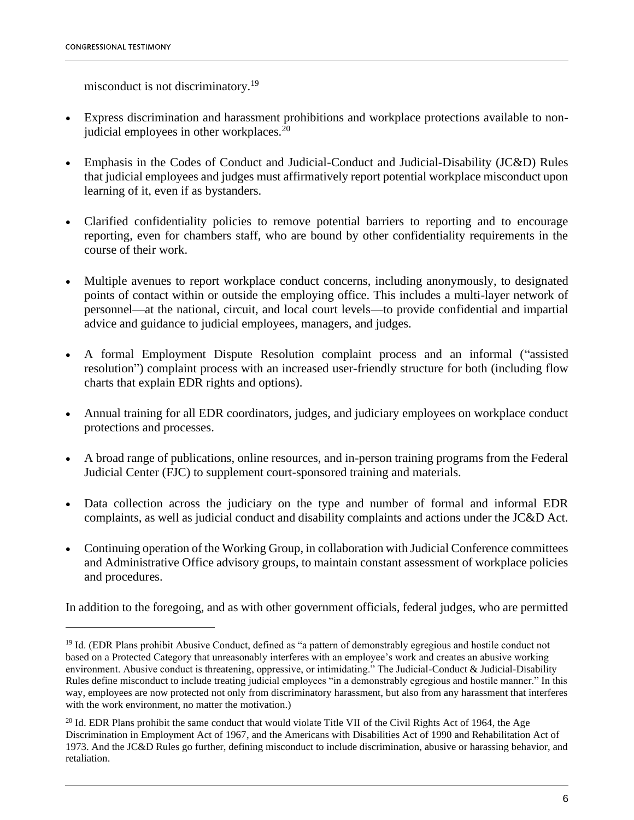misconduct is not discriminatory.<sup>19</sup>

- Express discrimination and harassment prohibitions and workplace protections available to nonjudicial employees in other workplaces. $^{20}$
- Emphasis in the Codes of Conduct and Judicial-Conduct and Judicial-Disability (JC&D) Rules that judicial employees and judges must affirmatively report potential workplace misconduct upon learning of it, even if as bystanders.
- Clarified confidentiality policies to remove potential barriers to reporting and to encourage reporting, even for chambers staff, who are bound by other confidentiality requirements in the course of their work.
- Multiple avenues to report workplace conduct concerns, including anonymously, to designated points of contact within or outside the employing office. This includes a multi-layer network of personnel—at the national, circuit, and local court levels—to provide confidential and impartial advice and guidance to judicial employees, managers, and judges.
- A formal Employment Dispute Resolution complaint process and an informal ("assisted resolution") complaint process with an increased user-friendly structure for both (including flow charts that explain EDR rights and options).
- Annual training for all EDR coordinators, judges, and judiciary employees on workplace conduct protections and processes.
- A broad range of publications, online resources, and in-person training programs from the Federal Judicial Center (FJC) to supplement court-sponsored training and materials.
- Data collection across the judiciary on the type and number of formal and informal EDR complaints, as well as judicial conduct and disability complaints and actions under the JC&D Act.
- Continuing operation of the Working Group, in collaboration with Judicial Conference committees and Administrative Office advisory groups, to maintain constant assessment of workplace policies and procedures.

In addition to the foregoing, and as with other government officials, federal judges, who are permitted

<sup>&</sup>lt;sup>19</sup> Id. (EDR Plans prohibit Abusive Conduct, defined as "a pattern of demonstrably egregious and hostile conduct not based on a Protected Category that unreasonably interferes with an employee's work and creates an abusive working environment. Abusive conduct is threatening, oppressive, or intimidating." The Judicial-Conduct & Judicial-Disability Rules define misconduct to include treating judicial employees "in a demonstrably egregious and hostile manner." In this way, employees are now protected not only from discriminatory harassment, but also from any harassment that interferes with the work environment, no matter the motivation.)

 $^{20}$  Id. EDR Plans prohibit the same conduct that would violate Title VII of the Civil Rights Act of 1964, the Age Discrimination in Employment Act of 1967, and the Americans with Disabilities Act of 1990 and Rehabilitation Act of 1973. And the JC&D Rules go further, defining misconduct to include discrimination, abusive or harassing behavior, and retaliation.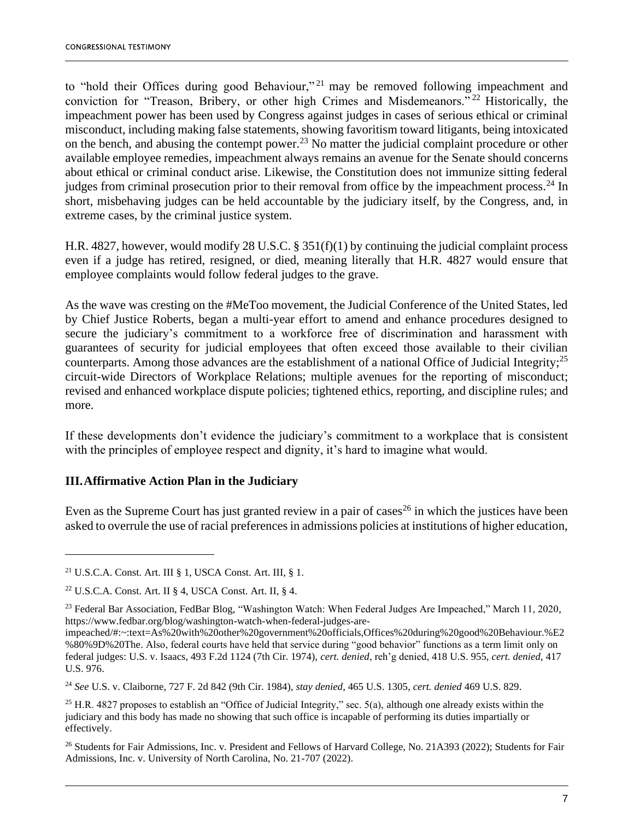to "hold their Offices during good Behaviour,"<sup>21</sup> may be removed following impeachment and conviction for "Treason, Bribery, or other high Crimes and Misdemeanors." <sup>22</sup> Historically, the impeachment power has been used by Congress against judges in cases of serious ethical or criminal misconduct, including making false statements, showing favoritism toward litigants, being intoxicated on the bench, and abusing the contempt power.<sup>23</sup> No matter the judicial complaint procedure or other available employee remedies, impeachment always remains an avenue for the Senate should concerns about ethical or criminal conduct arise. Likewise, the Constitution does not immunize sitting federal judges from criminal prosecution prior to their removal from office by the impeachment process.<sup>24</sup> In short, misbehaving judges can be held accountable by the judiciary itself, by the Congress, and, in extreme cases, by the criminal justice system.

H.R. 4827, however, would modify 28 U.S.C. § 351(f)(1) by continuing the judicial complaint process even if a judge has retired, resigned, or died, meaning literally that H.R. 4827 would ensure that employee complaints would follow federal judges to the grave.

As the wave was cresting on the #MeToo movement, the Judicial Conference of the United States, led by Chief Justice Roberts, began a multi-year effort to amend and enhance procedures designed to secure the judiciary's commitment to a workforce free of discrimination and harassment with guarantees of security for judicial employees that often exceed those available to their civilian counterparts. Among those advances are the establishment of a national Office of Judicial Integrity;<sup>25</sup> circuit-wide Directors of Workplace Relations; multiple avenues for the reporting of misconduct; revised and enhanced workplace dispute policies; tightened ethics, reporting, and discipline rules; and more.

If these developments don't evidence the judiciary's commitment to a workplace that is consistent with the principles of employee respect and dignity, it's hard to imagine what would.

## **III.Affirmative Action Plan in the Judiciary**

Even as the Supreme Court has just granted review in a pair of cases<sup>26</sup> in which the justices have been asked to overrule the use of racial preferences in admissions policies at institutions of higher education,

<sup>24</sup> *See* U.S. v. Claiborne, 727 F. 2d 842 (9th Cir. 1984), *stay denied*, 465 U.S. 1305, *cert. denied* 469 U.S. 829.

<sup>&</sup>lt;sup>21</sup> U.S.C.A. Const. Art. III § 1, USCA Const. Art. III, § 1.

<sup>&</sup>lt;sup>22</sup> U.S.C.A. Const. Art. II § 4, USCA Const. Art. II, § 4.

<sup>&</sup>lt;sup>23</sup> Federal Bar Association, FedBar Blog, "Washington Watch: When Federal Judges Are Impeached," March 11, 2020, https://www.fedbar.org/blog/washington-watch-when-federal-judges-are-

impeached/#:~:text=As%20with%20other%20government%20officials,Offices%20during%20good%20Behaviour.%E2 %80%9D%20The. Also, federal courts have held that service during "good behavior" functions as a term limit only on federal judges: U.S. v. Isaacs, 493 F.2d 1124 (7th Cir. 1974), *cert. denied*, reh'g denied, 418 U.S. 955, *cert. denied*, 417 U.S. 976.

 $25$  H.R. 4827 proposes to establish an "Office of Judicial Integrity," sec. 5(a), although one already exists within the judiciary and this body has made no showing that such office is incapable of performing its duties impartially or effectively.

<sup>&</sup>lt;sup>26</sup> Students for Fair Admissions, Inc. v. President and Fellows of Harvard College, No. 21A393 (2022); Students for Fair Admissions, Inc. v. University of North Carolina, No. 21-707 (2022).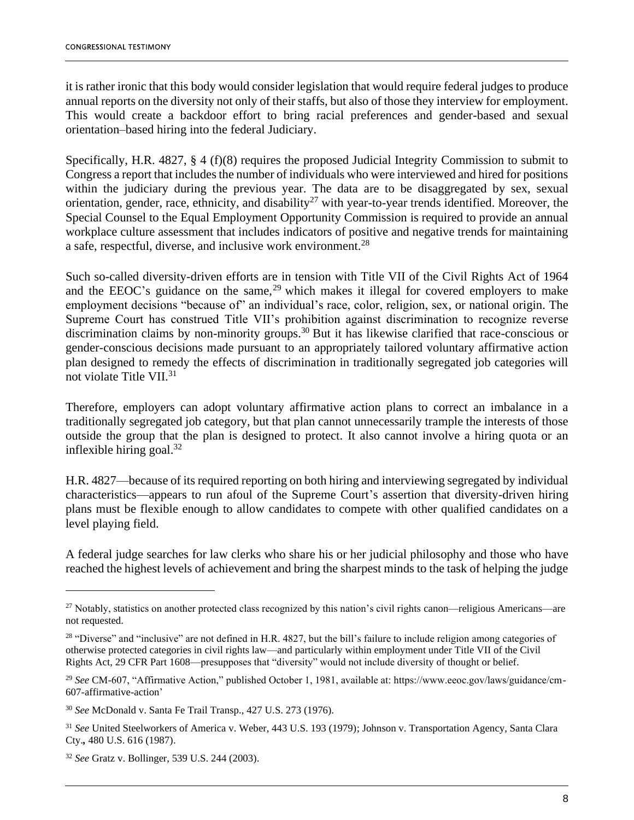it is rather ironic that this body would consider legislation that would require federal judges to produce annual reports on the diversity not only of their staffs, but also of those they interview for employment. This would create a backdoor effort to bring racial preferences and gender-based and sexual orientation–based hiring into the federal Judiciary.

Specifically, H.R. 4827, § 4 (f)(8) requires the proposed Judicial Integrity Commission to submit to Congress a report that includes the number of individuals who were interviewed and hired for positions within the judiciary during the previous year. The data are to be disaggregated by sex, sexual orientation, gender, race, ethnicity, and disability<sup>27</sup> with year-to-year trends identified. Moreover, the Special Counsel to the Equal Employment Opportunity Commission is required to provide an annual workplace culture assessment that includes indicators of positive and negative trends for maintaining a safe, respectful, diverse, and inclusive work environment.<sup>28</sup>

Such so-called diversity-driven efforts are in tension with Title VII of the Civil Rights Act of 1964 and the EEOC's guidance on the same,<sup>29</sup> which makes it illegal for covered employers to make employment decisions "because of" an individual's race, color, religion, sex, or national origin. The Supreme Court has construed Title VII's prohibition against discrimination to recognize reverse discrimination claims by non-minority groups.<sup>30</sup> But it has likewise clarified that race-conscious or gender-conscious decisions made pursuant to an appropriately tailored voluntary affirmative action plan designed to remedy the effects of discrimination in traditionally segregated job categories will not violate Title VII.<sup>31</sup>

Therefore, employers can adopt voluntary affirmative action plans to correct an imbalance in a traditionally segregated job category, but that plan cannot unnecessarily trample the interests of those outside the group that the plan is designed to protect. It also cannot involve a hiring quota or an inflexible hiring goal. $32$ 

H.R. 4827—because of its required reporting on both hiring and interviewing segregated by individual characteristics—appears to run afoul of the Supreme Court's assertion that diversity-driven hiring plans must be flexible enough to allow candidates to compete with other qualified candidates on a level playing field.

A federal judge searches for law clerks who share his or her judicial philosophy and those who have reached the highest levels of achievement and bring the sharpest minds to the task of helping the judge

<sup>&</sup>lt;sup>27</sup> Notably, statistics on another protected class recognized by this nation's civil rights canon—religious Americans—are not requested.

 $28$  "Diverse" and "inclusive" are not defined in H.R. 4827, but the bill's failure to include religion among categories of otherwise protected categories in civil rights law—and particularly within employment under Title VII of the Civil Rights Act, 29 CFR Part 1608—presupposes that "diversity" would not include diversity of thought or belief.

<sup>29</sup> *See* CM-607, "Affirmative Action," published October 1, 1981, available at: https://www.eeoc.gov/laws/guidance/cm-607-affirmative-action'

<sup>30</sup> *See* McDonald v. Santa Fe Trail Transp., 427 U.S. 273 (1976).

<sup>31</sup> *See* United Steelworkers of America v. Weber, 443 U.S. 193 (1979); Johnson v. Transportation Agency, Santa Clara Cty.*,* 480 U.S. 616 (1987).

<sup>32</sup> *See* Gratz v. Bollinger, 539 U.S. 244 (2003).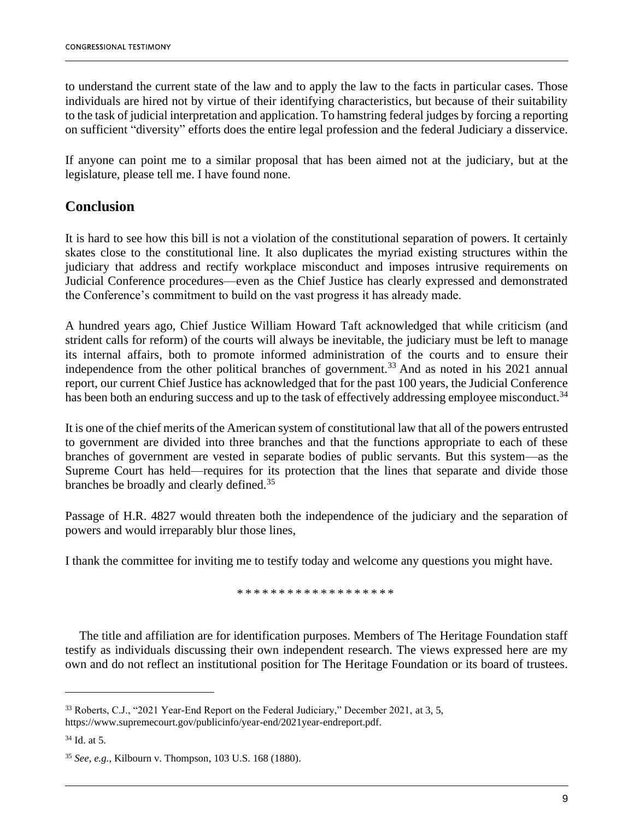to understand the current state of the law and to apply the law to the facts in particular cases. Those individuals are hired not by virtue of their identifying characteristics, but because of their suitability to the task of judicial interpretation and application. To hamstring federal judges by forcing a reporting on sufficient "diversity" efforts does the entire legal profession and the federal Judiciary a disservice.

If anyone can point me to a similar proposal that has been aimed not at the judiciary, but at the legislature, please tell me. I have found none.

# **Conclusion**

It is hard to see how this bill is not a violation of the constitutional separation of powers. It certainly skates close to the constitutional line. It also duplicates the myriad existing structures within the judiciary that address and rectify workplace misconduct and imposes intrusive requirements on Judicial Conference procedures—even as the Chief Justice has clearly expressed and demonstrated the Conference's commitment to build on the vast progress it has already made.

A hundred years ago, Chief Justice William Howard Taft acknowledged that while criticism (and strident calls for reform) of the courts will always be inevitable, the judiciary must be left to manage its internal affairs, both to promote informed administration of the courts and to ensure their independence from the other political branches of government.<sup>33</sup> And as noted in his 2021 annual report, our current Chief Justice has acknowledged that for the past 100 years, the Judicial Conference has been both an enduring success and up to the task of effectively addressing employee misconduct.<sup>34</sup>

It is one of the chief merits of the American system of constitutional law that all of the powers entrusted to government are divided into three branches and that the functions appropriate to each of these branches of government are vested in separate bodies of public servants. But this system—as the Supreme Court has held—requires for its protection that the lines that separate and divide those branches be broadly and clearly defined.<sup>35</sup>

Passage of H.R. 4827 would threaten both the independence of the judiciary and the separation of powers and would irreparably blur those lines,

I thank the committee for inviting me to testify today and welcome any questions you might have.

\* \* \* \* \* \* \* \* \* \* \* \* \* \* \* \* \* \* \*

The title and affiliation are for identification purposes. Members of The Heritage Foundation staff testify as individuals discussing their own independent research. The views expressed here are my own and do not reflect an institutional position for The Heritage Foundation or its board of trustees.

<sup>33</sup> Roberts, C.J., "2021 Year-End Report on the Federal Judiciary," December 2021, at 3, 5, https://www.supremecourt.gov/publicinfo/year-end/2021year-endreport.pdf.

 $34$  Id. at 5.

<sup>35</sup> *See*, *e.g.*, Kilbourn v. Thompson, 103 U.S. 168 (1880).